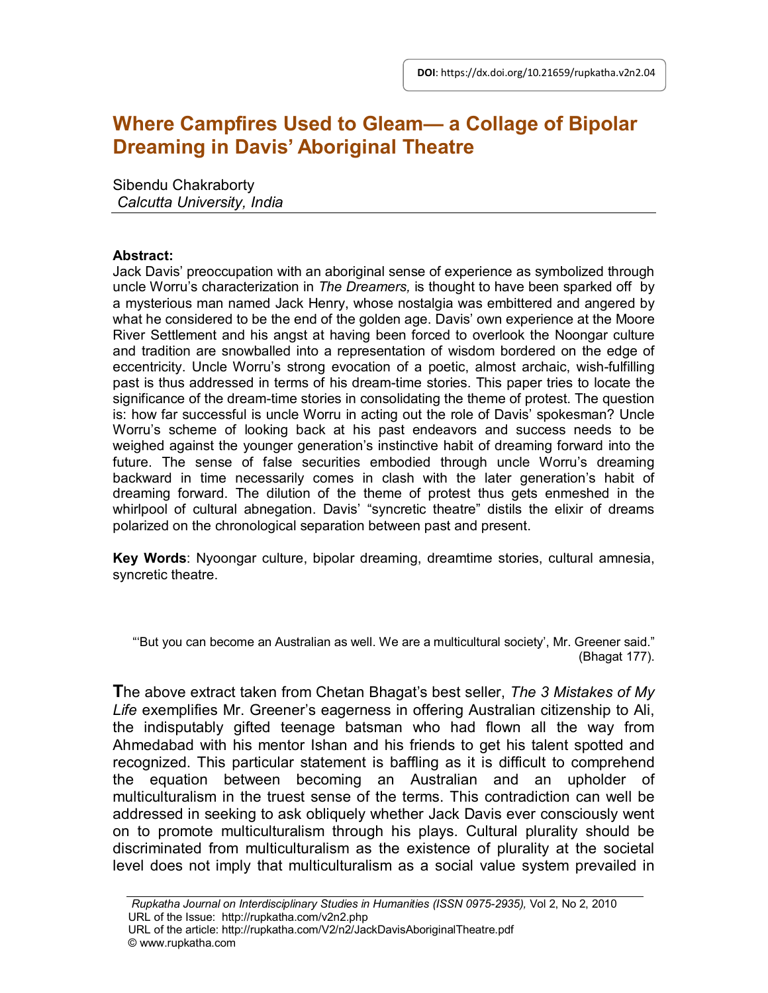# **Where Campfires Used to Gleam— a Collage of Bipolar Dreaming in Davis' Aboriginal Theatre**

Sibendu Chakraborty *Calcutta University, India*

## **Abstract:**

Jack Davis' preoccupation with an aboriginal sense of experience as symbolized through uncle Worru's characterization in *The Dreamers,* is thought to have been sparked off by a mysterious man named Jack Henry, whose nostalgia was embittered and angered by what he considered to be the end of the golden age. Davis' own experience at the Moore River Settlement and his angst at having been forced to overlook the Noongar culture and tradition are snowballed into a representation of wisdom bordered on the edge of eccentricity. Uncle Worru's strong evocation of a poetic, almost archaic, wish-fulfilling past is thus addressed in terms of his dream-time stories. This paper tries to locate the significance of the dream-time stories in consolidating the theme of protest. The question is: how far successful is uncle Worru in acting out the role of Davis' spokesman? Uncle Worru's scheme of looking back at his past endeavors and success needs to be weighed against the younger generation's instinctive habit of dreaming forward into the future. The sense of false securities embodied through uncle Worru's dreaming backward in time necessarily comes in clash with the later generation's habit of dreaming forward. The dilution of the theme of protest thus gets enmeshed in the whirlpool of cultural abnegation. Davis' "syncretic theatre" distils the elixir of dreams polarized on the chronological separation between past and present.

**Key Words**: Nyoongar culture, bipolar dreaming, dreamtime stories, cultural amnesia, syncretic theatre.

"'But you can become an Australian as well. We are a multicultural society', Mr. Greener said." (Bhagat 177).

**T**he above extract taken from Chetan Bhagat's best seller, *The 3 Mistakes of My Life* exemplifies Mr. Greener's eagerness in offering Australian citizenship to Ali, the indisputably gifted teenage batsman who had flown all the way from Ahmedabad with his mentor Ishan and his friends to get his talent spotted and recognized. This particular statement is baffling as it is difficult to comprehend the equation between becoming an Australian and an upholder of multiculturalism in the truest sense of the terms. This contradiction can well be addressed in seeking to ask obliquely whether Jack Davis ever consciously went on to promote multiculturalism through his plays. Cultural plurality should be discriminated from multiculturalism as the existence of plurality at the societal level does not imply that multiculturalism as a social value system prevailed in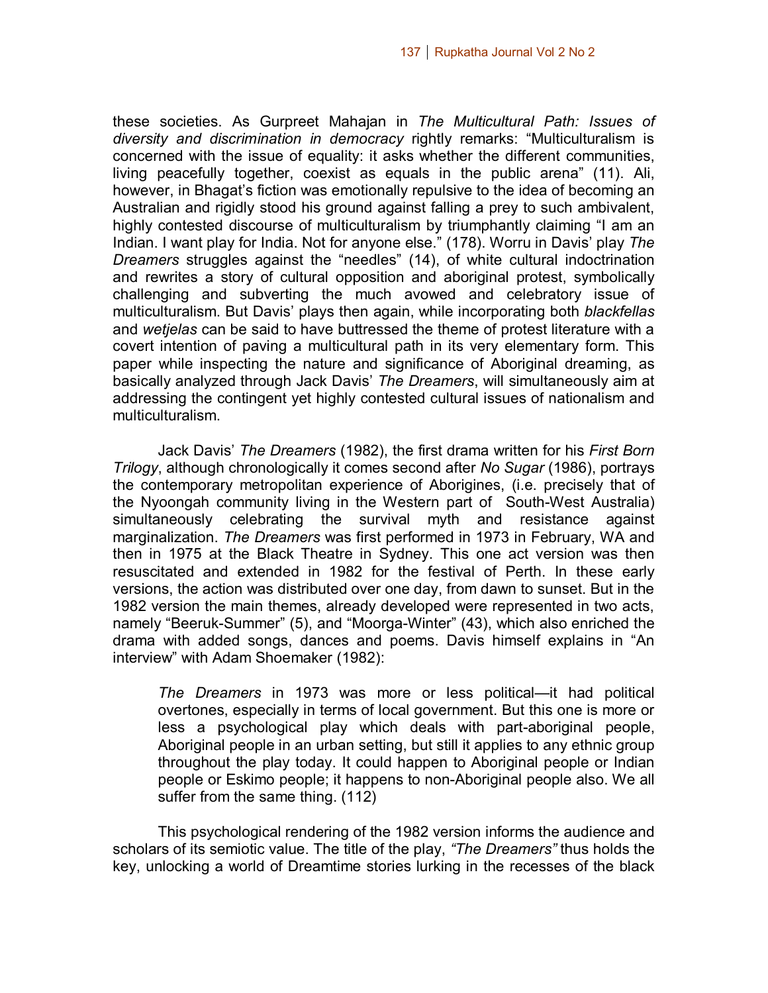these societies. As Gurpreet Mahajan in *The Multicultural Path: Issues of diversity and discrimination in democracy* rightly remarks: "Multiculturalism is concerned with the issue of equality: it asks whether the different communities, living peacefully together, coexist as equals in the public arena" (11). Ali, however, in Bhagat's fiction was emotionally repulsive to the idea of becoming an Australian and rigidly stood his ground against falling a prey to such ambivalent, highly contested discourse of multiculturalism by triumphantly claiming "I am an Indian. I want play for India. Not for anyone else." (178). Worru in Davis' play *The Dreamers* struggles against the "needles" (14), of white cultural indoctrination and rewrites a story of cultural opposition and aboriginal protest, symbolically challenging and subverting the much avowed and celebratory issue of multiculturalism. But Davis' plays then again, while incorporating both *blackfellas* and *wetjelas* can be said to have buttressed the theme of protest literature with a covert intention of paving a multicultural path in its very elementary form. This paper while inspecting the nature and significance of Aboriginal dreaming, as basically analyzed through Jack Davis' *The Dreamers*, will simultaneously aim at addressing the contingent yet highly contested cultural issues of nationalism and multiculturalism.

Jack Davis' *The Dreamers* (1982), the first drama written for his *First Born Trilogy*, although chronologically it comes second after *No Sugar* (1986), portrays the contemporary metropolitan experience of Aborigines, (i.e. precisely that of the Nyoongah community living in the Western part of South-West Australia) simultaneously celebrating the survival myth and resistance against marginalization. *The Dreamers* was first performed in 1973 in February, WA and then in 1975 at the Black Theatre in Sydney. This one act version was then resuscitated and extended in 1982 for the festival of Perth. In these early versions, the action was distributed over one day, from dawn to sunset. But in the 1982 version the main themes, already developed were represented in two acts, namely "Beeruk-Summer" (5), and "Moorga-Winter" (43), which also enriched the drama with added songs, dances and poems. Davis himself explains in "An interview" with Adam Shoemaker (1982):

*The Dreamers* in 1973 was more or less political—it had political overtones, especially in terms of local government. But this one is more or less a psychological play which deals with part-aboriginal people, Aboriginal people in an urban setting, but still it applies to any ethnic group throughout the play today. It could happen to Aboriginal people or Indian people or Eskimo people; it happens to non-Aboriginal people also. We all suffer from the same thing. (112)

This psychological rendering of the 1982 version informs the audience and scholars of its semiotic value. The title of the play, *"The Dreamers"* thus holds the key, unlocking a world of Dreamtime stories lurking in the recesses of the black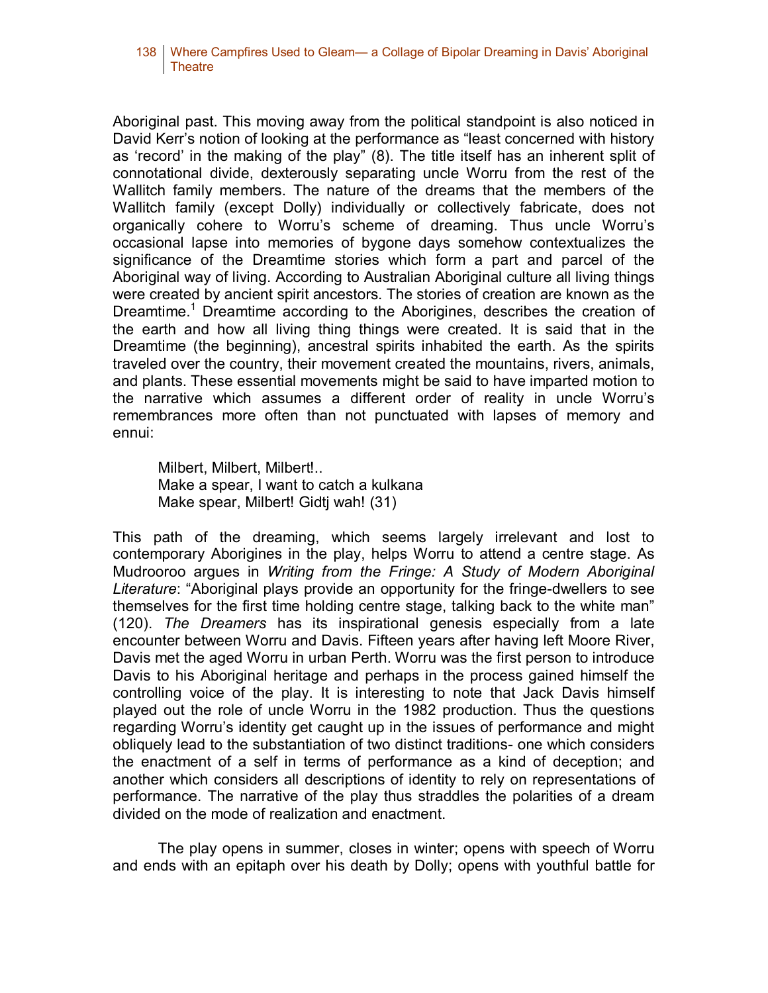#### 138 Where Campfires Used to Gleam— a Collage of Bipolar Dreaming in Davis' Aboriginal Theatre

Aboriginal past. This moving away from the political standpoint is also noticed in David Kerr's notion of looking at the performance as "least concerned with history as 'record' in the making of the play" (8). The title itself has an inherent split of connotational divide, dexterously separating uncle Worru from the rest of the Wallitch family members. The nature of the dreams that the members of the Wallitch family (except Dolly) individually or collectively fabricate, does not organically cohere to Worru's scheme of dreaming. Thus uncle Worru's occasional lapse into memories of bygone days somehow contextualizes the significance of the Dreamtime stories which form a part and parcel of the Aboriginal way of living. According to Australian Aboriginal culture all living things were created by ancient spirit ancestors. The stories of creation are known as the Dreamtime.<sup>1</sup> Dreamtime according to the Aborigines, describes the creation of the earth and how all living thing things were created. It is said that in the Dreamtime (the beginning), ancestral spirits inhabited the earth. As the spirits traveled over the country, their movement created the mountains, rivers, animals, and plants. These essential movements might be said to have imparted motion to the narrative which assumes a different order of reality in uncle Worru's remembrances more often than not punctuated with lapses of memory and ennui:

Milbert, Milbert, Milbert!.. Make a spear, I want to catch a kulkana Make spear, Milbert! Gidtj wah! (31)

This path of the dreaming, which seems largely irrelevant and lost to contemporary Aborigines in the play, helps Worru to attend a centre stage. As Mudrooroo argues in *Writing from the Fringe: A Study of Modern Aboriginal Literature*: "Aboriginal plays provide an opportunity for the fringe-dwellers to see themselves for the first time holding centre stage, talking back to the white man" (120). *The Dreamers* has its inspirational genesis especially from a late encounter between Worru and Davis. Fifteen years after having left Moore River, Davis met the aged Worru in urban Perth. Worru was the first person to introduce Davis to his Aboriginal heritage and perhaps in the process gained himself the controlling voice of the play. It is interesting to note that Jack Davis himself played out the role of uncle Worru in the 1982 production. Thus the questions regarding Worru's identity get caught up in the issues of performance and might obliquely lead to the substantiation of two distinct traditions- one which considers the enactment of a self in terms of performance as a kind of deception; and another which considers all descriptions of identity to rely on representations of performance. The narrative of the play thus straddles the polarities of a dream divided on the mode of realization and enactment.

The play opens in summer, closes in winter; opens with speech of Worru and ends with an epitaph over his death by Dolly; opens with youthful battle for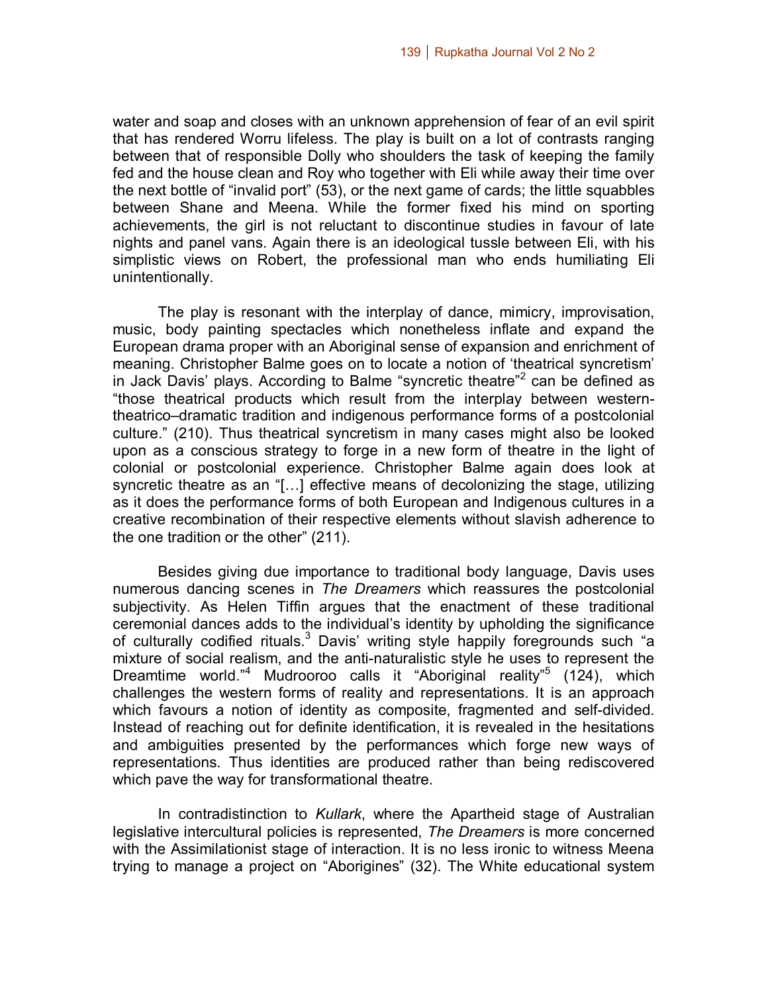water and soap and closes with an unknown apprehension of fear of an evil spirit that has rendered Worru lifeless. The play is built on a lot of contrasts ranging between that of responsible Dolly who shoulders the task of keeping the family fed and the house clean and Roy who together with Eli while away their time over the next bottle of "invalid port" (53), or the next game of cards; the little squabbles between Shane and Meena. While the former fixed his mind on sporting achievements, the girl is not reluctant to discontinue studies in favour of late nights and panel vans. Again there is an ideological tussle between Eli, with his simplistic views on Robert, the professional man who ends humiliating Eli unintentionally.

The play is resonant with the interplay of dance, mimicry, improvisation, music, body painting spectacles which nonetheless inflate and expand the European drama proper with an Aboriginal sense of expansion and enrichment of meaning. Christopher Balme goes on to locate a notion of 'theatrical syncretism' in Jack Davis' plays. According to Balme "syncretic theatre"<sup>2</sup> can be defined as "those theatrical products which result from the interplay between westerntheatrico–dramatic tradition and indigenous performance forms of a postcolonial culture." (210). Thus theatrical syncretism in many cases might also be looked upon as a conscious strategy to forge in a new form of theatre in the light of colonial or postcolonial experience. Christopher Balme again does look at syncretic theatre as an "[…] effective means of decolonizing the stage, utilizing as it does the performance forms of both European and Indigenous cultures in a creative recombination of their respective elements without slavish adherence to the one tradition or the other" (211).

Besides giving due importance to traditional body language, Davis uses numerous dancing scenes in *The Dreamers* which reassures the postcolonial subjectivity. As Helen Tiffin argues that the enactment of these traditional ceremonial dances adds to the individual's identity by upholding the significance of culturally codified rituals.<sup>3</sup> Davis' writing style happily foregrounds such "a mixture of social realism, and the anti-naturalistic style he uses to represent the Dreamtime world."<sup>4</sup> Mudrooroo calls it "Aboriginal reality"<sup>5</sup> (124), which challenges the western forms of reality and representations. It is an approach which favours a notion of identity as composite, fragmented and self-divided. Instead of reaching out for definite identification, it is revealed in the hesitations and ambiguities presented by the performances which forge new ways of representations. Thus identities are produced rather than being rediscovered which pave the way for transformational theatre.

In contradistinction to *Kullark*, where the Apartheid stage of Australian legislative intercultural policies is represented, *The Dreamers* is more concerned with the Assimilationist stage of interaction. It is no less ironic to witness Meena trying to manage a project on "Aborigines" (32). The White educational system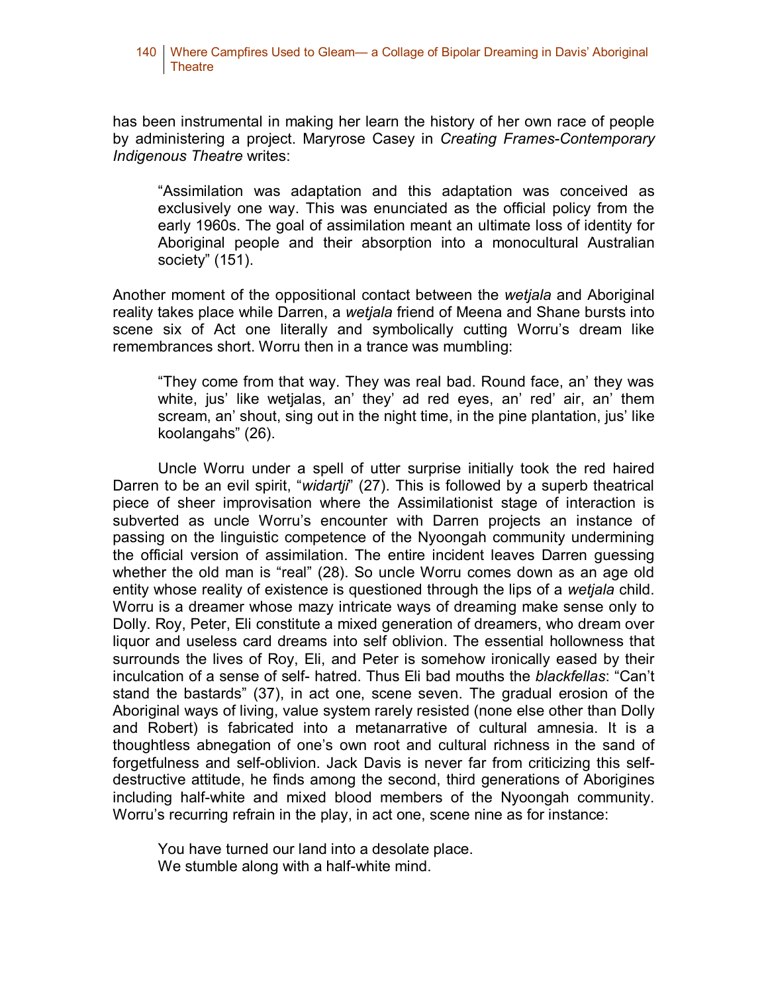#### 140 Where Campfires Used to Gleam— a Collage of Bipolar Dreaming in Davis' Aboriginal Theatre

has been instrumental in making her learn the history of her own race of people by administering a project. Maryrose Casey in *Creating Frames-Contemporary Indigenous Theatre* writes:

"Assimilation was adaptation and this adaptation was conceived as exclusively one way. This was enunciated as the official policy from the early 1960s. The goal of assimilation meant an ultimate loss of identity for Aboriginal people and their absorption into a monocultural Australian society" (151).

Another moment of the oppositional contact between the *wetjala* and Aboriginal reality takes place while Darren, a *wetjala* friend of Meena and Shane bursts into scene six of Act one literally and symbolically cutting Worru's dream like remembrances short. Worru then in a trance was mumbling:

"They come from that way. They was real bad. Round face, an' they was white, jus' like wetjalas, an' they' ad red eyes, an' red' air, an' them scream, an' shout, sing out in the night time, in the pine plantation, jus' like koolangahs" (26).

Uncle Worru under a spell of utter surprise initially took the red haired Darren to be an evil spirit, "*widartji*" (27). This is followed by a superb theatrical piece of sheer improvisation where the Assimilationist stage of interaction is subverted as uncle Worru's encounter with Darren projects an instance of passing on the linguistic competence of the Nyoongah community undermining the official version of assimilation. The entire incident leaves Darren guessing whether the old man is "real" (28). So uncle Worru comes down as an age old entity whose reality of existence is questioned through the lips of a *wetjala* child. Worru is a dreamer whose mazy intricate ways of dreaming make sense only to Dolly. Roy, Peter, Eli constitute a mixed generation of dreamers, who dream over liquor and useless card dreams into self oblivion. The essential hollowness that surrounds the lives of Roy, Eli, and Peter is somehow ironically eased by their inculcation of a sense of self- hatred. Thus Eli bad mouths the *blackfellas*: "Can't stand the bastards" (37), in act one, scene seven. The gradual erosion of the Aboriginal ways of living, value system rarely resisted (none else other than Dolly and Robert) is fabricated into a metanarrative of cultural amnesia. It is a thoughtless abnegation of one's own root and cultural richness in the sand of forgetfulness and self-oblivion. Jack Davis is never far from criticizing this selfdestructive attitude, he finds among the second, third generations of Aborigines including half-white and mixed blood members of the Nyoongah community. Worru's recurring refrain in the play, in act one, scene nine as for instance:

You have turned our land into a desolate place. We stumble along with a half-white mind.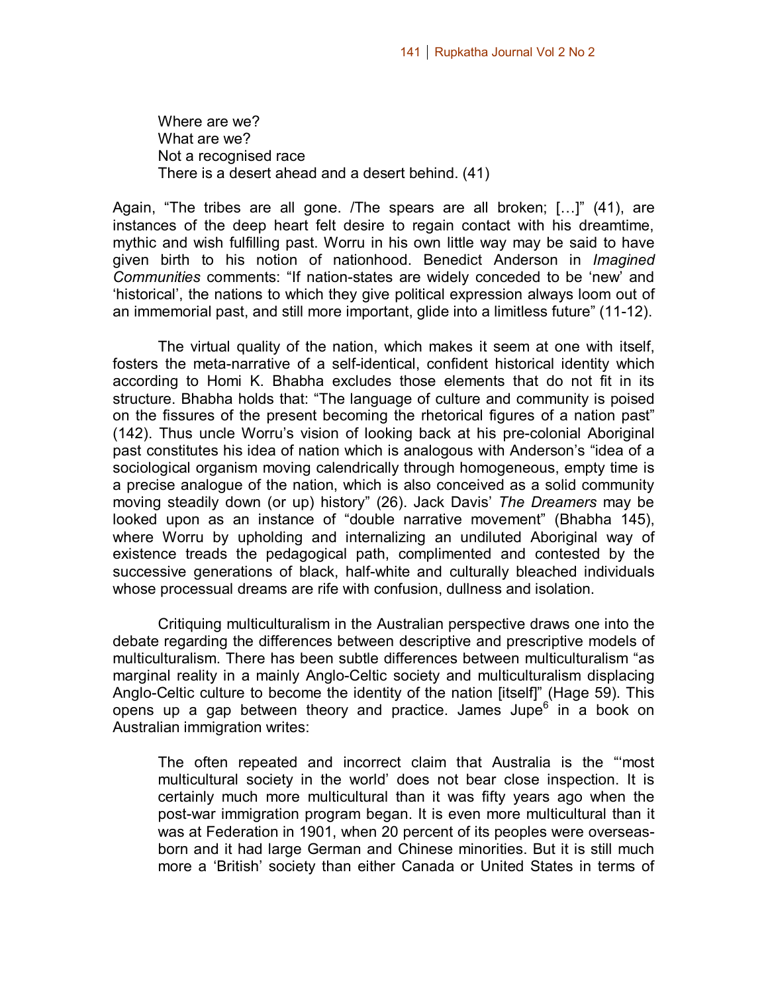Where are we? What are we? Not a recognised race There is a desert ahead and a desert behind. (41)

Again, "The tribes are all gone. /The spears are all broken; […]" (41), are instances of the deep heart felt desire to regain contact with his dreamtime, mythic and wish fulfilling past. Worru in his own little way may be said to have given birth to his notion of nationhood. Benedict Anderson in *Imagined Communities* comments: "If nation-states are widely conceded to be 'new' and 'historical', the nations to which they give political expression always loom out of an immemorial past, and still more important, glide into a limitless future" (11-12).

The virtual quality of the nation, which makes it seem at one with itself, fosters the meta-narrative of a self-identical, confident historical identity which according to Homi K. Bhabha excludes those elements that do not fit in its structure. Bhabha holds that: "The language of culture and community is poised on the fissures of the present becoming the rhetorical figures of a nation past" (142). Thus uncle Worru's vision of looking back at his pre-colonial Aboriginal past constitutes his idea of nation which is analogous with Anderson's "idea of a sociological organism moving calendrically through homogeneous, empty time is a precise analogue of the nation, which is also conceived as a solid community moving steadily down (or up) history" (26). Jack Davis' *The Dreamers* may be looked upon as an instance of "double narrative movement" (Bhabha 145), where Worru by upholding and internalizing an undiluted Aboriginal way of existence treads the pedagogical path, complimented and contested by the successive generations of black, half-white and culturally bleached individuals whose processual dreams are rife with confusion, dullness and isolation.

Critiquing multiculturalism in the Australian perspective draws one into the debate regarding the differences between descriptive and prescriptive models of multiculturalism. There has been subtle differences between multiculturalism "as marginal reality in a mainly Anglo-Celtic society and multiculturalism displacing Anglo-Celtic culture to become the identity of the nation [itself]" (Hage 59). This opens up a gap between theory and practice. James Jupe<sup>6</sup> in a book on Australian immigration writes:

The often repeated and incorrect claim that Australia is the "'most multicultural society in the world' does not bear close inspection. It is certainly much more multicultural than it was fifty years ago when the post-war immigration program began. It is even more multicultural than it was at Federation in 1901, when 20 percent of its peoples were overseasborn and it had large German and Chinese minorities. But it is still much more a 'British' society than either Canada or United States in terms of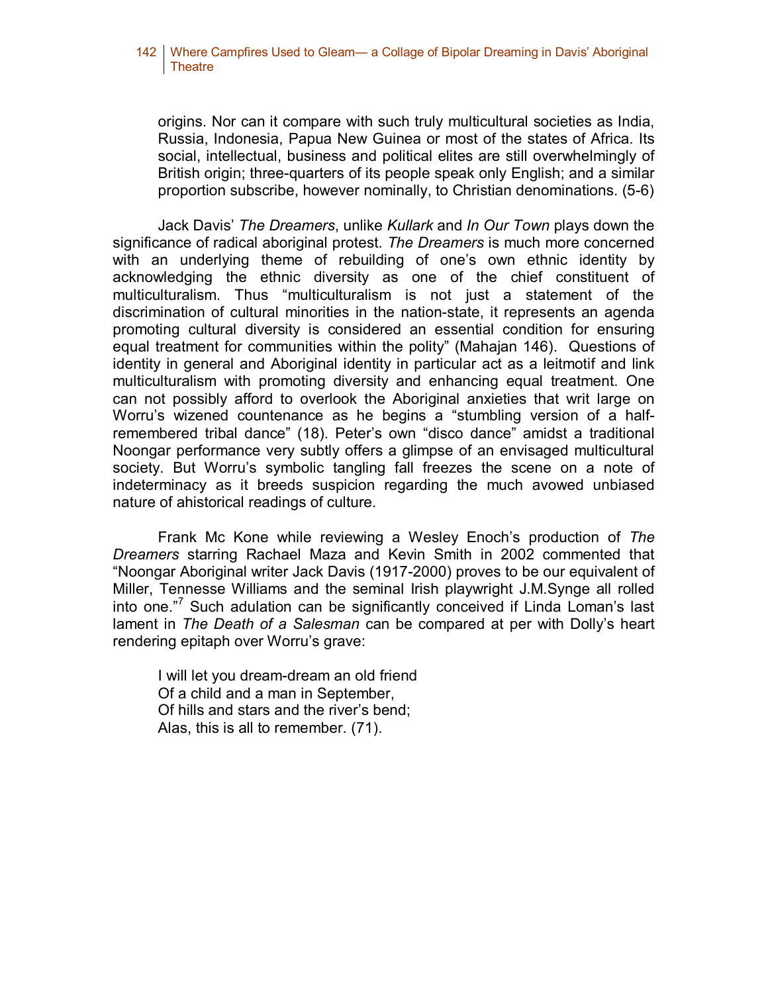### 142 | Where Campfires Used to Gleam— a Collage of Bipolar Dreaming in Davis' Aboriginal Theatre

origins. Nor can it compare with such truly multicultural societies as India, Russia, Indonesia, Papua New Guinea or most of the states of Africa. Its social, intellectual, business and political elites are still overwhelmingly of British origin; three-quarters of its people speak only English; and a similar proportion subscribe, however nominally, to Christian denominations. (5-6)

Jack Davis' *The Dreamers*, unlike *Kullark* and *In Our Town* plays down the significance of radical aboriginal protest. *The Dreamers* is much more concerned with an underlying theme of rebuilding of one's own ethnic identity by acknowledging the ethnic diversity as one of the chief constituent of multiculturalism. Thus "multiculturalism is not just a statement of the discrimination of cultural minorities in the nation-state, it represents an agenda promoting cultural diversity is considered an essential condition for ensuring equal treatment for communities within the polity" (Mahajan 146). Questions of identity in general and Aboriginal identity in particular act as a leitmotif and link multiculturalism with promoting diversity and enhancing equal treatment. One can not possibly afford to overlook the Aboriginal anxieties that writ large on Worru's wizened countenance as he begins a "stumbling version of a halfremembered tribal dance" (18). Peter's own "disco dance" amidst a traditional Noongar performance very subtly offers a glimpse of an envisaged multicultural society. But Worru's symbolic tangling fall freezes the scene on a note of indeterminacy as it breeds suspicion regarding the much avowed unbiased nature of ahistorical readings of culture.

Frank Mc Kone while reviewing a Wesley Enoch's production of *The Dreamers* starring Rachael Maza and Kevin Smith in 2002 commented that "Noongar Aboriginal writer Jack Davis (1917-2000) proves to be our equivalent of Miller, Tennesse Williams and the seminal Irish playwright J.M.Synge all rolled into one." Such adulation can be significantly conceived if Linda Loman's last lament in *The Death of a Salesman* can be compared at per with Dolly's heart rendering epitaph over Worru's grave:

I will let you dream-dream an old friend Of a child and a man in September, Of hills and stars and the river's bend; Alas, this is all to remember. (71).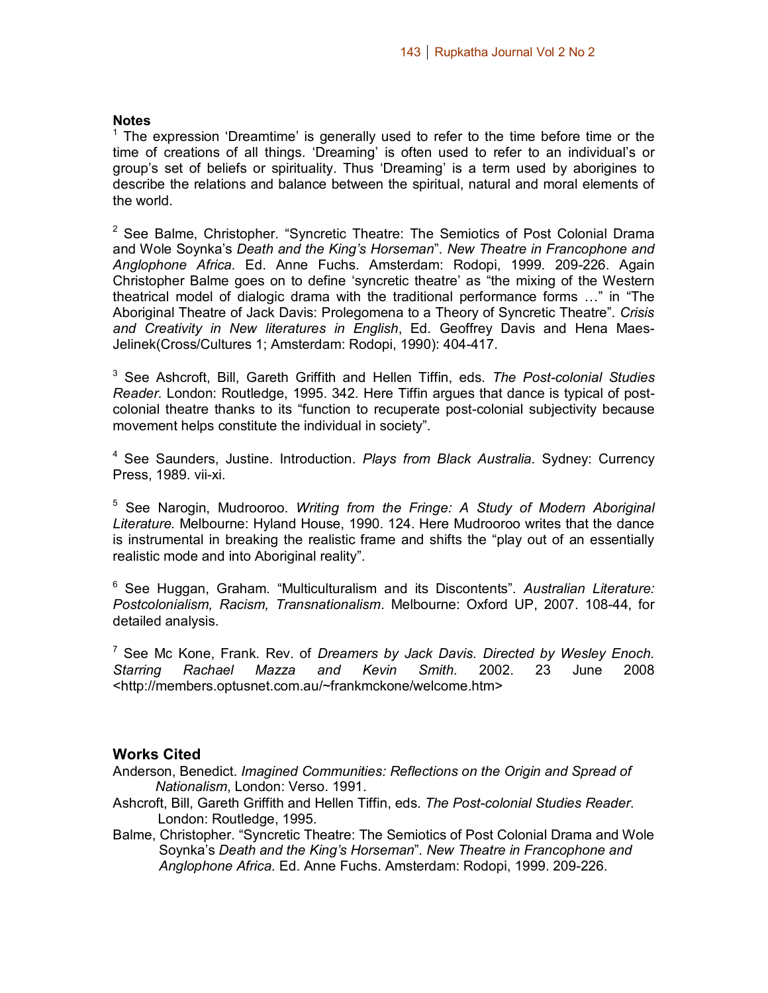#### **Notes**

<sup>1</sup> The expression 'Dreamtime' is generally used to refer to the time before time or the time of creations of all things. 'Dreaming' is often used to refer to an individual's or group's set of beliefs or spirituality. Thus 'Dreaming' is a term used by aborigines to describe the relations and balance between the spiritual, natural and moral elements of the world.

 $2$  See Balme, Christopher. "Syncretic Theatre: The Semiotics of Post Colonial Drama and Wole Soynka's *Death and the King's Horseman*". *New Theatre in Francophone and Anglophone Africa.* Ed. Anne Fuchs. Amsterdam: Rodopi, 1999. 209-226. Again Christopher Balme goes on to define 'syncretic theatre' as "the mixing of the Western theatrical model of dialogic drama with the traditional performance forms …" in "The Aboriginal Theatre of Jack Davis: Prolegomena to a Theory of Syncretic Theatre". *Crisis and Creativity in New literatures in English*, Ed. Geoffrey Davis and Hena Maes-Jelinek(Cross/Cultures 1; Amsterdam: Rodopi, 1990): 404-417.

<sup>3</sup> See Ashcroft, Bill, Gareth Griffith and Hellen Tiffin, eds. *The Post-colonial Studies Reader.* London: Routledge, 1995. 342. Here Tiffin argues that dance is typical of postcolonial theatre thanks to its "function to recuperate post-colonial subjectivity because movement helps constitute the individual in society".

<sup>4</sup> See Saunders, Justine. Introduction. *Plays from Black Australia*. Sydney: Currency Press, 1989. vii-xi.

<sup>5</sup> See Narogin, Mudrooroo. *Writing from the Fringe: A Study of Modern Aboriginal Literature.* Melbourne: Hyland House, 1990. 124. Here Mudrooroo writes that the dance is instrumental in breaking the realistic frame and shifts the "play out of an essentially realistic mode and into Aboriginal reality".

<sup>6</sup> See Huggan, Graham. "Multiculturalism and its Discontents". *Australian Literature: Postcolonialism, Racism, Transnationalism*. Melbourne: Oxford UP, 2007. 108-44, for detailed analysis.

<sup>7</sup> See Mc Kone, Frank. Rev. of *Dreamers by Jack Davis. Directed by Wesley Enoch. Starring Rachael Mazza and Kevin Smith.* 2002. 23 June 2008 <http://members.optusnet.com.au/~frankmckone/welcome.htm>

## **Works Cited**

Anderson, Benedict. *Imagined Communities: Reflections on the Origin and Spread of Nationalism*, London: Verso. 1991.

- Ashcroft, Bill, Gareth Griffith and Hellen Tiffin, eds. *The Post-colonial Studies Reader.* London: Routledge, 1995.
- Balme, Christopher. "Syncretic Theatre: The Semiotics of Post Colonial Drama and Wole Soynka's *Death and the King's Horseman*". *New Theatre in Francophone and Anglophone Africa.* Ed. Anne Fuchs. Amsterdam: Rodopi, 1999. 209-226.